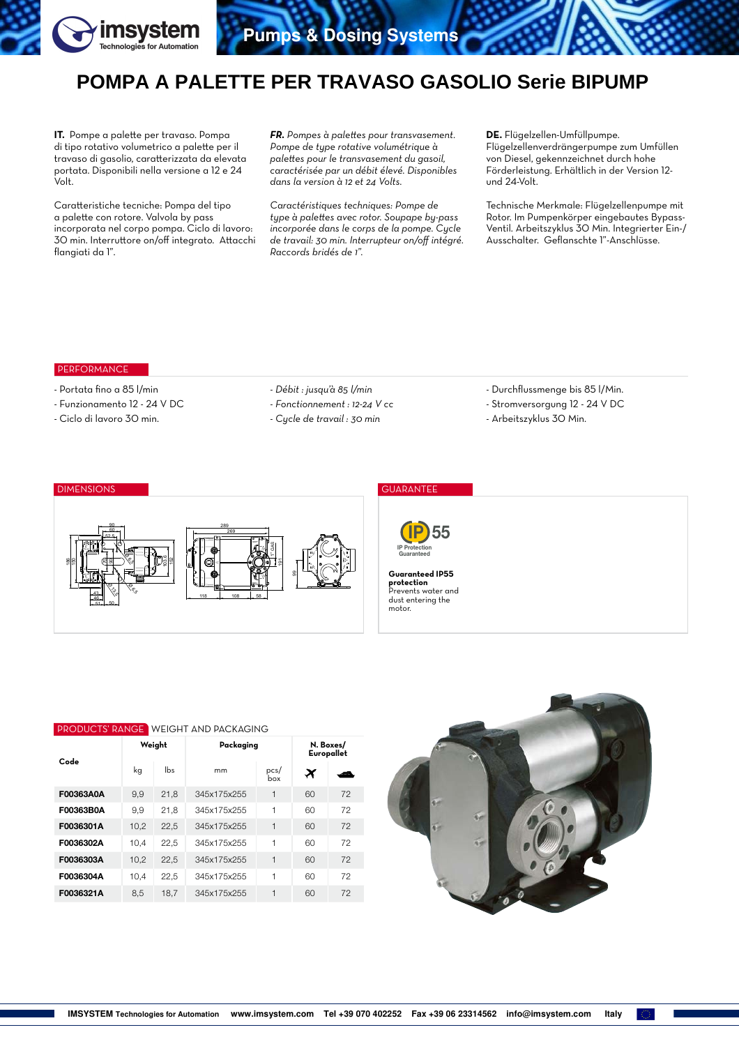

# **POMPA A PALETTE PER TRAVASO GASOLIO Serie BIPUMP**

**IT.** Pompe a palette per travaso. Pompa di tipo rotativo volumetrico a palette per il travaso di gasolio, caratterizzata da elevata portata. Disponibili nella versione a 12 e 24 .<br>Volt.

Caratteristiche tecniche: Pompa del tipo a palette con rotore. Valvola by pass incorporata nel corpo pompa. Ciclo di lavoro: 30 min. Interruttore on/off integrato. Attacchi flangiati da 1".

*FR. Pompes à palettes pour transvasement. Pompe de type rotative volumétrique à palettes pour le transvasement du gasoil, caractérisée par un débit élevé. Disponibles dans la version à 12 et 24 Volts.*

*Caractéristiques techniques: Pompe de type à palettes avec rotor. Soupape by-pass incorporée dans le corps de la pompe. Cycle de travail: 30 min. Interrupteur on/off intégré. Raccords bridés de 1".*

**DE.** Flügelzellen-Umfüllpumpe. Flügelzellenverdrängerpumpe zum Umfüllen von Diesel, gekennzeichnet durch hohe Förderleistung. Erhältlich in der Version 12 und 24-Volt.

Technische Merkmale: Flügelzellenpumpe mit Rotor. Im Pumpenkörper eingebautes Bypass-Ventil. Arbeitszyklus 30 Min. Integrierter Ein-/ Ausschalter. Geflanschte 1"-Anschlüsse.

### **PERFORMANCE**

43

**Proj** 

 $\mathfrak{h}_{\sigma}$ 

46 51 50

- Portata fino a 85 l/min
- Funzionamento 12 24 V DC

- Ciclo di lavoro 30 min.

- *Débit : jusqu'à 85 l/min*
- *Fonctionnement : 12-24 V cc*
- *Cycle de travail : 30 min*
- Durchflussmenge bis 85 l/Min.
- Stromversorgung 12 24 V DC
- Arbeitszyklus 30 Min.

#### 70 90 52.5 60 90 186 150 152 103.6  $\overline{\mathcal{C}}$ 5ء 289 269 1" GAS

DIMENSIONS GUARANTEE

118 <u>108 158</u>



**Guaranteed IP55 protection** Prevents water and dust entering the motor.

| <b>PRODUCTS' RANGE WEIGHT AND PACKAGING</b> |        |      |             |                         |                       |     |  |  |  |  |  |
|---------------------------------------------|--------|------|-------------|-------------------------|-----------------------|-----|--|--|--|--|--|
| Code                                        | Weight |      | Packaging   | N. Boxes/<br>Europallet |                       |     |  |  |  |  |  |
|                                             | kq     | lbs  | mm          | pcs/<br>box             | $\boldsymbol{\times}$ | هست |  |  |  |  |  |
| F00363A0A                                   | 9.9    | 21.8 | 345x175x255 | 1                       | 60                    | 72  |  |  |  |  |  |
| F00363B0A                                   | 9.9    | 21.8 | 345x175x255 | 1                       | 60                    | 72  |  |  |  |  |  |
| F0036301A                                   | 10.2   | 22.5 | 345x175x255 | 1                       | 60                    | 72  |  |  |  |  |  |
| F0036302A                                   | 10,4   | 22,5 | 345x175x255 | 1                       | 60                    | 72  |  |  |  |  |  |
| F0036303A                                   | 10.2   | 22.5 | 345x175x255 | 1                       | 60                    | 72  |  |  |  |  |  |
| F0036304A                                   | 10.4   | 22,5 | 345x175x255 | 1                       | 60                    | 72  |  |  |  |  |  |
| F0036321A                                   | 8.5    | 18,7 | 345x175x255 | 1                       | 60                    | 72  |  |  |  |  |  |